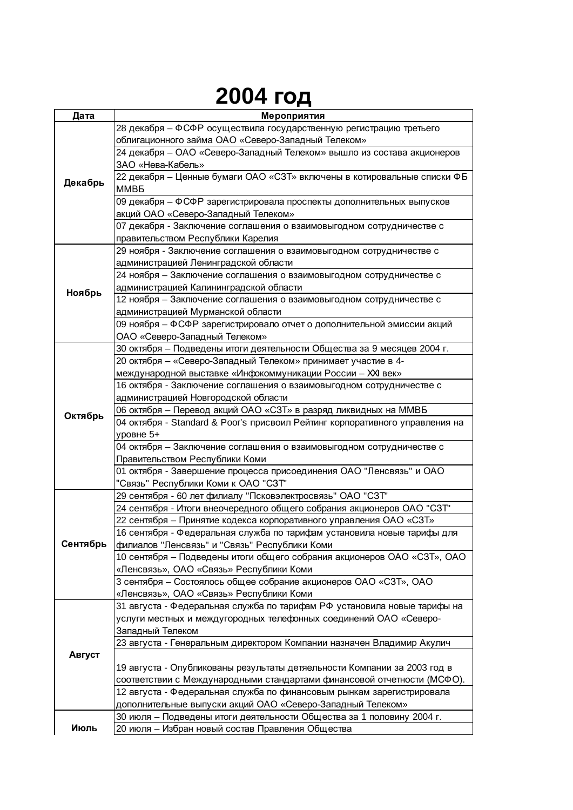## **2004 год**

| Дата     | Мероприятия                                                                                                |
|----------|------------------------------------------------------------------------------------------------------------|
|          | 28 декабря - ФСФР осуществила государственную регистрацию третьего                                         |
| Декабрь  | облигационного займа ОАО «Северо-Западный Телеком»                                                         |
|          | 24 декабря - ОАО «Северо-Западный Телеком» вышло из состава акционеров                                     |
|          | ЗАО «Нева-Кабель»                                                                                          |
|          | 22 декабря - Ценные бумаги ОАО «СЗТ» включены в котировальные списки ФБ                                    |
|          | <b>MMB<sub>B</sub></b>                                                                                     |
|          | 09 декабря - ФСФР зарегистрировала проспекты дополнительных выпусков                                       |
|          | акций ОАО «Северо-Западный Телеком»                                                                        |
|          | 07 декабря - Заключение соглашения о взаимовыгодном сотрудничестве с                                       |
|          | правительством Республики Карелия                                                                          |
| Ноябрь   | 29 ноября - Заключение соглашения о взаимовыгодном сотрудничестве с                                        |
|          | администрацией Ленинградской области                                                                       |
|          | 24 ноября - Заключение соглашения о взаимовыгодном сотрудничестве с                                        |
|          | администрацией Калининградской области                                                                     |
|          | 12 ноября - Заключение соглашения о взаимовыгодном сотрудничестве с                                        |
|          | администрацией Мурманской области                                                                          |
|          | 09 ноября - ФСФР зарегистрировало отчет о дополнительной эмиссии акций                                     |
|          | ОАО «Северо-Западный Телеком»                                                                              |
| Октябрь  | 30 октября - Подведены итоги деятельности Общества за 9 месяцев 2004 г.                                    |
|          | 20 октября - «Северо-Западный Телеком» принимает участие в 4-                                              |
|          | международной выставке «Инфокоммуникации России - XXI век»                                                 |
|          | 16 октября - Заключение соглашения о взаимовыгодном сотрудничестве с                                       |
|          | администрацией Новгородской области                                                                        |
|          | 06 октября - Перевод акций ОАО «СЗТ» в разряд ликвидных на ММВБ                                            |
|          | 04 октября - Standard & Poor's присвоил Рейтинг корпоративного управления на                               |
|          | уровне 5+                                                                                                  |
|          | 04 октября - Заключение соглашения о взаимовыгодном сотрудничестве с                                       |
|          | Правительством Республики Коми                                                                             |
|          | 01 октября - Завершение процесса присоединения ОАО "Ленсвязь" и ОАО<br>"Связь" Республики Коми к ОАО "СЗТ" |
|          | 29 сентября - 60 лет филиалу "Псковэлектросвязь" ОАО "СЗТ"                                                 |
| Сентябрь | 24 сентября - Итоги внеочередного общего собрания акционеров ОАО "СЗТ"                                     |
|          | 22 сентября - Принятие кодекса корпоративного управления ОАО «СЗТ»                                         |
|          | 16 сентября - Федеральная служба по тарифам установила новые тарифы для                                    |
|          | филиалов "Ленсвязь" и "Связь" Республики Коми                                                              |
|          | 10 сентября - Подведены итоги общего собрания акционеров ОАО «СЗТ», ОАО                                    |
|          | «Ленсвязь», ОАО «Связь» Республики Коми                                                                    |
|          | 3 сентября - Состоялось общее собрание акционеров ОАО «СЗТ», ОАО                                           |
|          | «Ленсвязь», ОАО «Связь» Республики Коми                                                                    |
|          | 31 августа - Федеральная служба по тарифам РФ установила новые тарифы на                                   |
|          | услуги местных и междугородных телефонных соединений ОАО «Северо-                                          |
|          | Западный Телеком                                                                                           |
|          | 23 августа - Генеральным директором Компании назначен Владимир Акулич                                      |
| Август   |                                                                                                            |
|          | 19 августа - Опубликованы результаты детяельности Компании за 2003 год в                                   |
|          | соответствии с Международными стандартами финансовой отчетности (МСФО).                                    |
|          | 12 августа - Федеральная служба по финансовым рынкам зарегистрировала                                      |
|          | дополнительные выпуски акций ОАО «Северо-Западный Телеком»                                                 |
|          | 30 июля - Подведены итоги деятельности Общества за 1 половину 2004 г.                                      |
| Июль     | 20 июля - Избран новый состав Правления Общества                                                           |